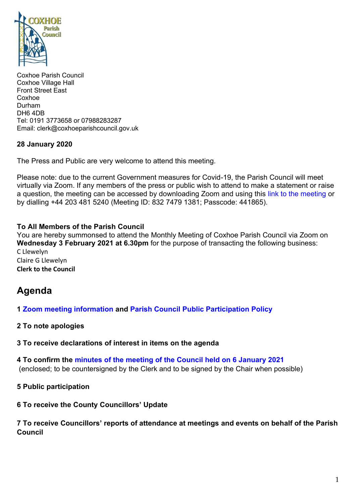

Coxhoe Parish Council Coxhoe Village Hall Front Street East Coxhoe Durham DH6 4DB Tel: 0191 3773658 or 07988283287 Email: clerk@coxhoeparishcouncil.gov.uk

#### **28 January 2020**

The Press and Public are very welcome to attend this meeting.

Please note: due to the current Government measures for Covid-19, the Parish Council will meet virtually via Zoom. If any members of the press or public wish to attend to make a statement or raise a question, the meeting can be accessed by downloading Zoom and using this link [to the meeting](https://us02web.zoom.us/j/83274791381?pwd=WGd6ZnF6L3BpWjFqb3JaRkc3R05BUT09) or by dialling +44 203 481 5240 (Meeting ID: 832 7479 1381; Passcode: 441865).

### **To All Members of the Parish Council**

You are hereby summonsed to attend the Monthly Meeting of Coxhoe Parish Council via Zoom on **Wednesday 3 February 2021 at 6.30pm** for the purpose of transacting the following business: C Llewelyn Claire G Llewelyn **Clerk to the Council**

# **Agenda**

- **1 [Zoom meeting information](https://1drv.ms/b/s!Alg_TKmu7xwUgaBVgDuiCxLS5RoaRw?e=TFgzfx) and [Parish Council Public Participation Policy](http://coxhoeparishcouncil.gov.uk/important-documents-and-policies/public-participation-policy-fmarch-2020-review-date-march-2022/)**
- **2 To note apologies**
- **3 To receive declarations of interest in items on the agenda**
- **4 To confirm the [minutes of the meeting of the Council held on](https://1drv.ms/b/s!Alg_TKmu7xwUgaBxs4O4tU9WUacrGQ?e=0dvjV7) 6 January 2021** (enclosed; to be countersigned by the Clerk and to be signed by the Chair when possible)
- **5 Public participation**
- **6 To receive the County Councillors' Update**

#### **7 To receive Councillors' reports of attendance at meetings and events on behalf of the Parish Council**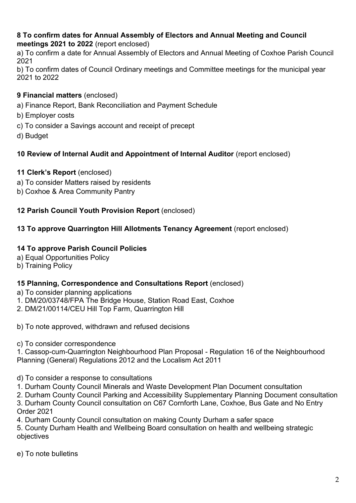#### **8 To confirm dates for Annual Assembly of Electors and Annual Meeting and Council meetings 2021 to 2022** (report enclosed)

a) To confirm a date for Annual Assembly of Electors and Annual Meeting of Coxhoe Parish Council 2021

b) To confirm dates of Council Ordinary meetings and Committee meetings for the municipal year 2021 to 2022

## **9 Financial matters** (enclosed)

- a) Finance Report, Bank Reconciliation and Payment Schedule
- b) Employer costs
- c) To consider a Savings account and receipt of precept
- d) Budget

## **10 Review of Internal Audit and Appointment of Internal Auditor** (report enclosed)

## **11 Clerk's Report** (enclosed)

- a) To consider Matters raised by residents
- b) Coxhoe & Area Community Pantry

### **12 Parish Council Youth Provision Report** (enclosed)

### **13 To approve Quarrington Hill Allotments Tenancy Agreement** (report enclosed)

#### **14 To approve Parish Council Policies**

- a) Equal Opportunities Policy
- b) Training Policy

#### **15 Planning, Correspondence and Consultations Report** (enclosed)

- a) To consider planning applications
- 1. DM/20/03748/FPA The Bridge House, Station Road East, Coxhoe
- 2. DM/21/00114/CEU Hill Top Farm, Quarrington Hill
- b) To note approved, withdrawn and refused decisions
- c) To consider correspondence

1. Cassop-cum-Quarrington Neighbourhood Plan Proposal - Regulation 16 of the Neighbourhood Planning (General) Regulations 2012 and the Localism Act 2011

#### d) To consider a response to consultations

1. Durham County Council Minerals and Waste Development Plan Document consultation

2. Durham County Council Parking and Accessibility Supplementary Planning Document consultation

3. Durham County Council consultation on C67 Cornforth Lane, Coxhoe, Bus Gate and No Entry Order 2021

4. Durham County Council consultation on making County Durham a safer space

5. County Durham Health and Wellbeing Board consultation on health and wellbeing strategic objectives

e) To note bulletins